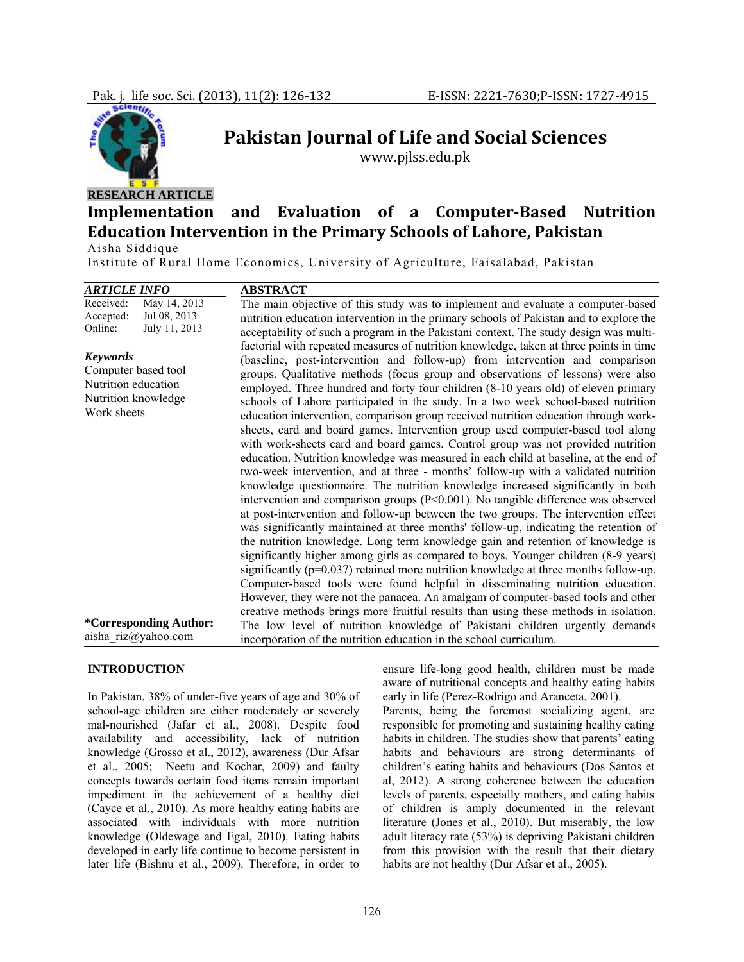

# **Pakistan Journal of Life and Social Sciences**

www.pjlss.edu.pk

# **RESEARCH ARTICLE**

# **Implementation and Evaluation of a ComputerBased Nutrition Education Intervention in the Primary Schools of Lahore, Pakistan**

Aisha Siddique

Institute of Rural Home Economics, University of Agriculture, Faisalabad, Pakistan

| <b>ARTICLE INFO</b>                                                                                 | <b>ABSTRACT</b>                                                                                                                                                                                                                                                                                                                                                                                                                                                                                                                                                                                                                                                                                                                                                                                                                                                                                                                                                                                                                                                                                                                                                                                                                                                                                                                                                                                                                                                                                                                                                                                                                                                                   |
|-----------------------------------------------------------------------------------------------------|-----------------------------------------------------------------------------------------------------------------------------------------------------------------------------------------------------------------------------------------------------------------------------------------------------------------------------------------------------------------------------------------------------------------------------------------------------------------------------------------------------------------------------------------------------------------------------------------------------------------------------------------------------------------------------------------------------------------------------------------------------------------------------------------------------------------------------------------------------------------------------------------------------------------------------------------------------------------------------------------------------------------------------------------------------------------------------------------------------------------------------------------------------------------------------------------------------------------------------------------------------------------------------------------------------------------------------------------------------------------------------------------------------------------------------------------------------------------------------------------------------------------------------------------------------------------------------------------------------------------------------------------------------------------------------------|
| May 14, 2013<br>Received:<br>Jul 08, 2013<br>Accepted:<br>July 11, 2013<br>Online:                  | The main objective of this study was to implement and evaluate a computer-based<br>nutrition education intervention in the primary schools of Pakistan and to explore the<br>acceptability of such a program in the Pakistani context. The study design was multi-                                                                                                                                                                                                                                                                                                                                                                                                                                                                                                                                                                                                                                                                                                                                                                                                                                                                                                                                                                                                                                                                                                                                                                                                                                                                                                                                                                                                                |
| <b>Keywords</b><br>Computer based tool<br>Nutrition education<br>Nutrition knowledge<br>Work sheets | factorial with repeated measures of nutrition knowledge, taken at three points in time<br>(baseline, post-intervention and follow-up) from intervention and comparison<br>groups. Qualitative methods (focus group and observations of lessons) were also<br>employed. Three hundred and forty four children (8-10 years old) of eleven primary<br>schools of Lahore participated in the study. In a two week school-based nutrition<br>education intervention, comparison group received nutrition education through work-<br>sheets, card and board games. Intervention group used computer-based tool along<br>with work-sheets card and board games. Control group was not provided nutrition<br>education. Nutrition knowledge was measured in each child at baseline, at the end of<br>two-week intervention, and at three - months' follow-up with a validated nutrition<br>knowledge questionnaire. The nutrition knowledge increased significantly in both<br>intervention and comparison groups $(P<0.001)$ . No tangible difference was observed<br>at post-intervention and follow-up between the two groups. The intervention effect<br>was significantly maintained at three months' follow-up, indicating the retention of<br>the nutrition knowledge. Long term knowledge gain and retention of knowledge is<br>significantly higher among girls as compared to boys. Younger children (8-9 years)<br>significantly $(p=0.037)$ retained more nutrition knowledge at three months follow-up.<br>Computer-based tools were found helpful in disseminating nutrition education.<br>However, they were not the panacea. An amalgam of computer-based tools and other |
| *Corresponding Author:<br>aisha riz@yahoo.com                                                       | creative methods brings more fruitful results than using these methods in isolation.<br>The low level of nutrition knowledge of Pakistani children urgently demands<br>incorporation of the nutrition education in the school curriculum.                                                                                                                                                                                                                                                                                                                                                                                                                                                                                                                                                                                                                                                                                                                                                                                                                                                                                                                                                                                                                                                                                                                                                                                                                                                                                                                                                                                                                                         |

# **INTRODUCTION**

In Pakistan, 38% of under-five years of age and 30% of school-age children are either moderately or severely mal-nourished (Jafar et al., 2008). Despite food availability and accessibility, lack of nutrition knowledge (Grosso et al., 2012), awareness (Dur Afsar et al., 2005; Neetu and Kochar, 2009) and faulty concepts towards certain food items remain important impediment in the achievement of a healthy diet (Cayce et al., 2010). As more healthy eating habits are associated with individuals with more nutrition knowledge (Oldewage and Egal, 2010). Eating habits developed in early life continue to become persistent in later life (Bishnu et al., 2009). Therefore, in order to ensure life-long good health, children must be made aware of nutritional concepts and healthy eating habits early in life (Perez-Rodrigo and Aranceta, 2001).

Parents, being the foremost socializing agent, are responsible for promoting and sustaining healthy eating habits in children. The studies show that parents' eating habits and behaviours are strong determinants of children's eating habits and behaviours (Dos Santos et al, 2012). A strong coherence between the education levels of parents, especially mothers, and eating habits of children is amply documented in the relevant literature (Jones et al., 2010). But miserably, the low adult literacy rate (53%) is depriving Pakistani children from this provision with the result that their dietary habits are not healthy (Dur Afsar et al., 2005).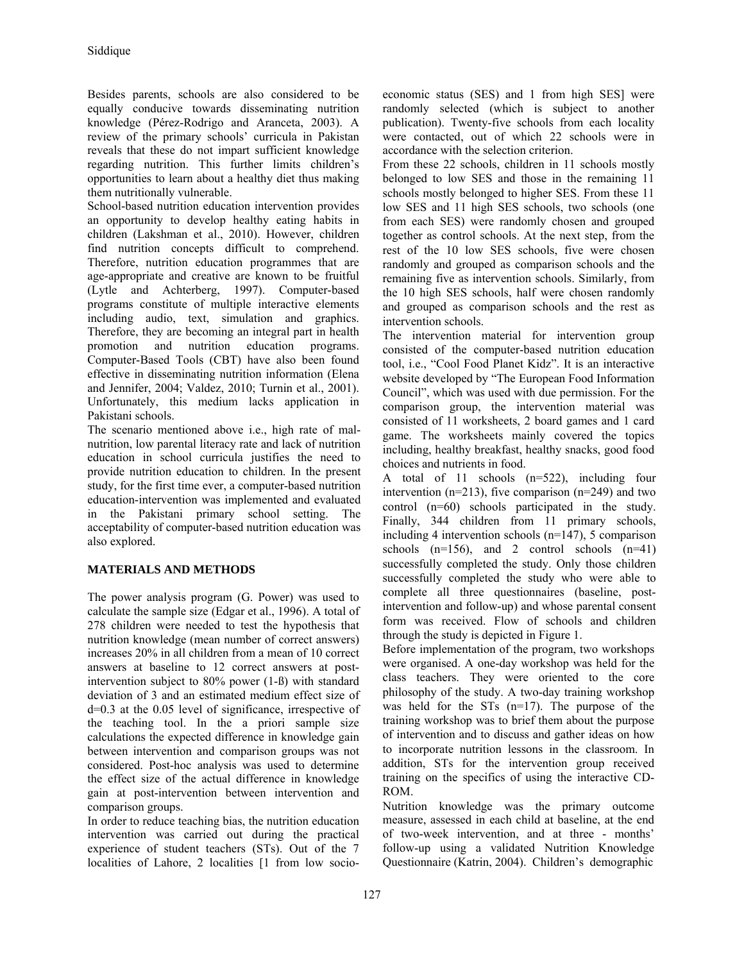Besides parents, schools are also considered to be equally conducive towards disseminating nutrition knowledge (Pérez-Rodrigo and Aranceta, 2003). A review of the primary schools' curricula in Pakistan reveals that these do not impart sufficient knowledge regarding nutrition. This further limits children's opportunities to learn about a healthy diet thus making them nutritionally vulnerable.

School-based nutrition education intervention provides an opportunity to develop healthy eating habits in children (Lakshman et al., 2010). However, children find nutrition concepts difficult to comprehend. Therefore, nutrition education programmes that are age-appropriate and creative are known to be fruitful (Lytle and Achterberg, 1997). Computer-based programs constitute of multiple interactive elements including audio, text, simulation and graphics. Therefore, they are becoming an integral part in health promotion and nutrition education programs. Computer-Based Tools (CBT) have also been found effective in disseminating nutrition information (Elena and Jennifer, 2004; Valdez, 2010; Turnin et al., 2001). Unfortunately, this medium lacks application in Pakistani schools.

The scenario mentioned above i.e., high rate of malnutrition, low parental literacy rate and lack of nutrition education in school curricula justifies the need to provide nutrition education to children. In the present study, for the first time ever, a computer-based nutrition education-intervention was implemented and evaluated in the Pakistani primary school setting. The acceptability of computer-based nutrition education was also explored.

# **MATERIALS AND METHODS**

The power analysis program (G. Power) was used to calculate the sample size (Edgar et al., 1996). A total of 278 children were needed to test the hypothesis that nutrition knowledge (mean number of correct answers) increases 20% in all children from a mean of 10 correct answers at baseline to 12 correct answers at postintervention subject to 80% power (1-ß) with standard deviation of 3 and an estimated medium effect size of d=0.3 at the 0.05 level of significance, irrespective of the teaching tool. In the a priori sample size calculations the expected difference in knowledge gain between intervention and comparison groups was not considered. Post-hoc analysis was used to determine the effect size of the actual difference in knowledge gain at post-intervention between intervention and comparison groups.

In order to reduce teaching bias, the nutrition education intervention was carried out during the practical experience of student teachers (STs). Out of the 7 localities of Lahore, 2 localities [1 from low socioeconomic status (SES) and 1 from high SES] were randomly selected (which is subject to another publication). Twenty-five schools from each locality were contacted, out of which 22 schools were in accordance with the selection criterion.

From these 22 schools, children in 11 schools mostly belonged to low SES and those in the remaining 11 schools mostly belonged to higher SES. From these 11 low SES and 11 high SES schools, two schools (one from each SES) were randomly chosen and grouped together as control schools. At the next step, from the rest of the 10 low SES schools, five were chosen randomly and grouped as comparison schools and the remaining five as intervention schools. Similarly, from the 10 high SES schools, half were chosen randomly and grouped as comparison schools and the rest as intervention schools.

The intervention material for intervention group consisted of the computer-based nutrition education tool, i.e., "Cool Food Planet Kidz". It is an interactive website developed by "The European Food Information Council", which was used with due permission. For the comparison group, the intervention material was consisted of 11 worksheets, 2 board games and 1 card game. The worksheets mainly covered the topics including, healthy breakfast, healthy snacks, good food choices and nutrients in food.

A total of 11 schools (n=522), including four intervention ( $n=213$ ), five comparison ( $n=249$ ) and two control (n=60) schools participated in the study. Finally, 344 children from 11 primary schools, including 4 intervention schools (n=147), 5 comparison schools  $(n=156)$ , and 2 control schools  $(n=41)$ successfully completed the study. Only those children successfully completed the study who were able to complete all three questionnaires (baseline, postintervention and follow-up) and whose parental consent form was received. Flow of schools and children through the study is depicted in Figure 1.

Before implementation of the program, two workshops were organised. A one-day workshop was held for the class teachers. They were oriented to the core philosophy of the study. A two-day training workshop was held for the STs (n=17). The purpose of the training workshop was to brief them about the purpose of intervention and to discuss and gather ideas on how to incorporate nutrition lessons in the classroom. In addition, STs for the intervention group received training on the specifics of using the interactive CD-ROM.

Nutrition knowledge was the primary outcome measure, assessed in each child at baseline, at the end of two-week intervention, and at three - months' follow-up using a validated Nutrition Knowledge Questionnaire (Katrin, 2004). Children's demographic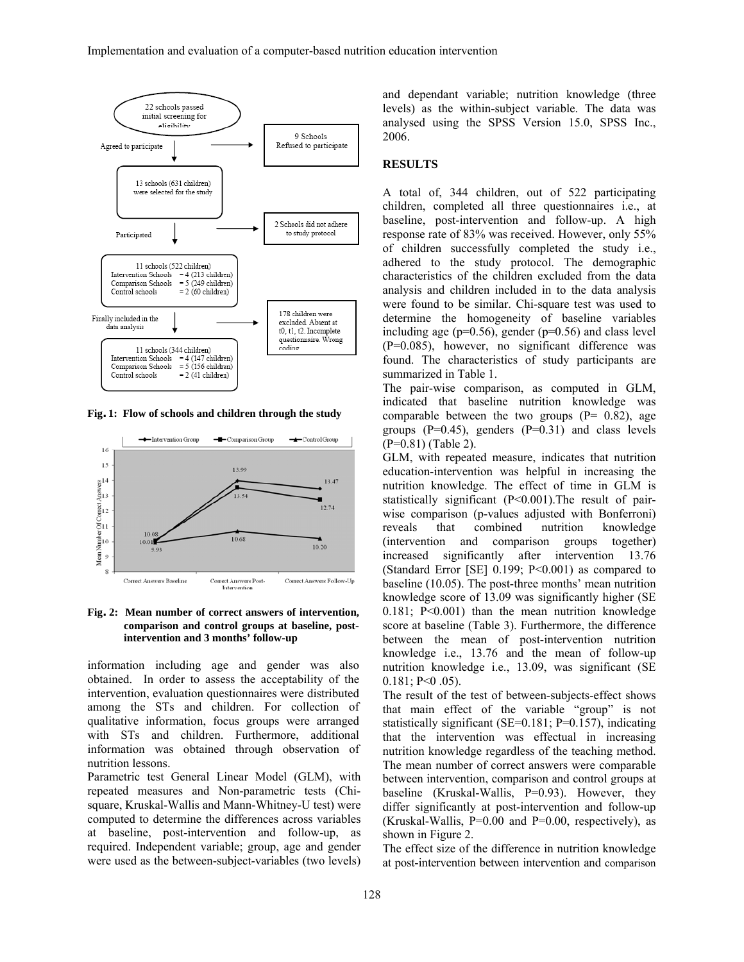

**Fig. 1: Flow of schools and children through the study** 



**Fig. 2: Mean number of correct answers of intervention, comparison and control groups at baseline, postintervention and 3 months' follow-up** 

information including age and gender was also obtained. In order to assess the acceptability of the intervention, evaluation questionnaires were distributed among the STs and children. For collection of qualitative information, focus groups were arranged with STs and children. Furthermore, additional information was obtained through observation of nutrition lessons.

Parametric test General Linear Model (GLM), with repeated measures and Non-parametric tests (Chisquare, Kruskal-Wallis and Mann-Whitney-U test) were computed to determine the differences across variables at baseline, post-intervention and follow-up, as required. Independent variable; group, age and gender were used as the between-subject-variables (two levels)

and dependant variable; nutrition knowledge (three levels) as the within-subject variable. The data was analysed using the SPSS Version 15.0, SPSS Inc., 2006.

#### **RESULTS**

A total of, 344 children, out of 522 participating children, completed all three questionnaires i.e., at baseline, post-intervention and follow-up. A high response rate of 83% was received. However, only 55% of children successfully completed the study i.e., adhered to the study protocol. The demographic characteristics of the children excluded from the data analysis and children included in to the data analysis were found to be similar. Chi-square test was used to determine the homogeneity of baseline variables including age ( $p=0.56$ ), gender ( $p=0.56$ ) and class level (P=0.085), however, no significant difference was found. The characteristics of study participants are summarized in Table 1.

The pair-wise comparison, as computed in GLM, indicated that baseline nutrition knowledge was comparable between the two groups  $(P= 0.82)$ , age groups  $(P=0.45)$ , genders  $(P=0.31)$  and class levels (P=0.81) (Table 2).

GLM, with repeated measure, indicates that nutrition education-intervention was helpful in increasing the nutrition knowledge. The effect of time in GLM is statistically significant (P<0.001).The result of pairwise comparison (p-values adjusted with Bonferroni) reveals that combined nutrition knowledge (intervention and comparison groups together) increased significantly after intervention 13.76 (Standard Error [SE] 0.199; P<0.001) as compared to baseline (10.05). The post-three months' mean nutrition knowledge score of 13.09 was significantly higher (SE 0.181; P<0.001) than the mean nutrition knowledge score at baseline (Table 3). Furthermore, the difference between the mean of post-intervention nutrition knowledge i.e., 13.76 and the mean of follow-up nutrition knowledge i.e., 13.09, was significant (SE  $0.181; P<0.05$ ).

The result of the test of between-subjects-effect shows that main effect of the variable "group" is not statistically significant (SE=0.181; P=0.157), indicating that the intervention was effectual in increasing nutrition knowledge regardless of the teaching method. The mean number of correct answers were comparable between intervention, comparison and control groups at baseline (Kruskal-Wallis, P=0.93). However, they differ significantly at post-intervention and follow-up (Kruskal-Wallis,  $P=0.00$  and  $P=0.00$ , respectively), as shown in Figure 2.

The effect size of the difference in nutrition knowledge at post-intervention between intervention and comparison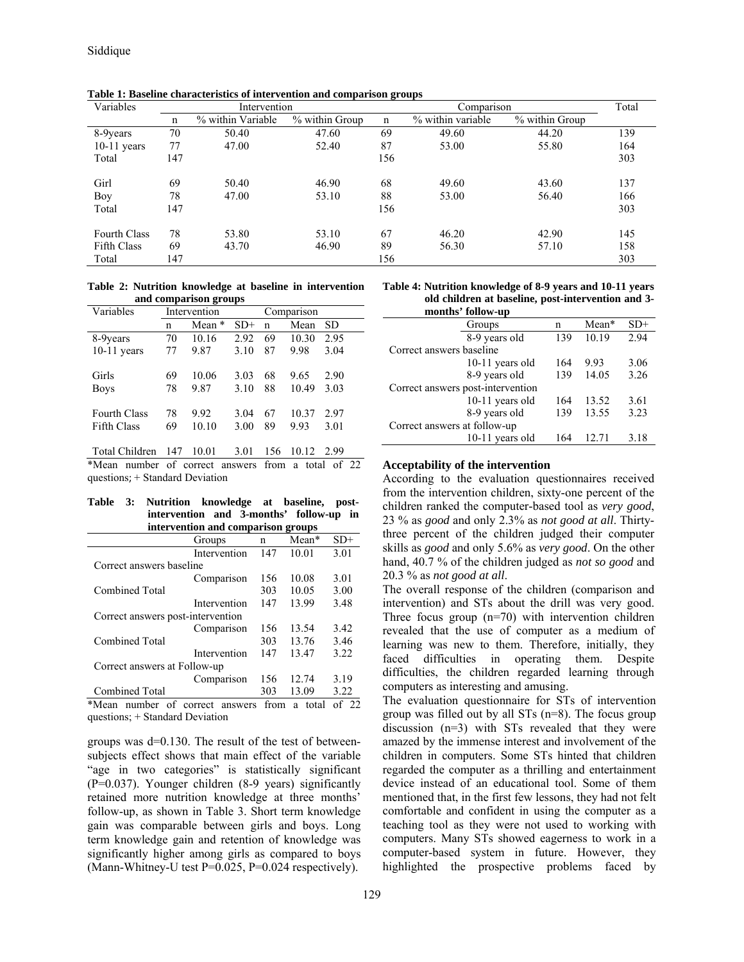| Variables           | Intervention |                   |                |             | Comparison        | Total          |     |
|---------------------|--------------|-------------------|----------------|-------------|-------------------|----------------|-----|
|                     | n            | % within Variable | % within Group | $\mathbf n$ | % within variable | % within Group |     |
| 8-9years            | 70           | 50.40             | 47.60          | 69          | 49.60             | 44.20          | 139 |
| $10-11$ years       | 77           | 47.00             | 52.40          | 87          | 53.00             | 55.80          | 164 |
| Total               | 147          |                   |                | 156         |                   |                | 303 |
| Girl                | 69           | 50.40             | 46.90          | 68          | 49.60             | 43.60          | 137 |
| Boy                 | 78           | 47.00             | 53.10          | 88          | 53.00             | 56.40          | 166 |
| Total               | 147          |                   |                | 156         |                   |                | 303 |
| <b>Fourth Class</b> | 78           | 53.80             | 53.10          | 67          | 46.20             | 42.90          | 145 |
| <b>Fifth Class</b>  | 69           | 43.70             | 46.90          | 89          | 56.30             | 57.10          | 158 |
| Total               | 147          |                   |                | 156         |                   |                | 303 |
|                     |              |                   |                |             |                   |                |     |

**Table 1: Baseline characteristics of intervention and comparison groups** 

**Table 2: Nutrition knowledge at baseline in intervention and comparison groups** 

| Variables           | Intervention |        |       | Comparison |       |      |
|---------------------|--------------|--------|-------|------------|-------|------|
|                     | n            | Mean * | $SD+$ | n          | Mean  | SD   |
| 8-9years            | 70           | 10.16  | 2.92  | 69         | 10.30 | 2.95 |
| $10-11$ years       | 77           | 9.87   | 3.10  | 87         | 9.98  | 3.04 |
|                     |              |        |       |            |       |      |
| Girls               | 69           | 10.06  | 3.03  | 68         | 9.65  | 2.90 |
| <b>Boys</b>         | 78           | 9.87   | 3.10  | 88         | 10.49 | 3.03 |
|                     |              |        |       |            |       |      |
| <b>Fourth Class</b> | 78           | 9.92   | 3.04  | 67         | 10.37 | 2.97 |
| <b>Fifth Class</b>  | 69           | 10.10  | 3.00  | 89         | 993   | 3.01 |
|                     |              |        |       |            |       |      |
| Total Children      | 147          | 10.01  | 3.01  | 156        | 10.12 | 2.99 |

\*Mean number of correct answers from a total of 22 questions; + Standard Deviation

#### **Table 3: Nutrition knowledge at baseline, postintervention and 3-months' follow-up in intervention and comparison groups**

|                                   | Groups       | n   | Mean* | $SD+$ |  |
|-----------------------------------|--------------|-----|-------|-------|--|
|                                   | Intervention | 147 | 10.01 | 3.01  |  |
| Correct answers baseline          |              |     |       |       |  |
|                                   | Comparison   | 156 | 10.08 | 3.01  |  |
| <b>Combined Total</b>             |              | 303 | 10.05 | 3.00  |  |
|                                   | Intervention | 147 | 13.99 | 3.48  |  |
| Correct answers post-intervention |              |     |       |       |  |
|                                   | Comparison   | 156 | 13.54 | 3.42  |  |
| <b>Combined Total</b>             |              | 303 | 13.76 | 3.46  |  |
|                                   | Intervention | 147 | 13.47 | 3.22  |  |
| Correct answers at Follow-up      |              |     |       |       |  |
|                                   | Comparison   | 156 | 12.74 | 3.19  |  |
| <b>Combined Total</b>             |              | 303 | 13.09 | 3.22  |  |

\*Mean number of correct answers from a total of 22 questions; + Standard Deviation

groups was d=0.130. The result of the test of betweensubjects effect shows that main effect of the variable "age in two categories" is statistically significant (P=0.037). Younger children (8-9 years) significantly retained more nutrition knowledge at three months' follow-up, as shown in Table 3. Short term knowledge gain was comparable between girls and boys. Long term knowledge gain and retention of knowledge was significantly higher among girls as compared to boys (Mann-Whitney-U test P=0.025, P=0.024 respectively).

**Table 4: Nutrition knowledge of 8-9 years and 10-11 years old children at baseline, post-intervention and 3-**

|                                   | months' follow-up |     |       |       |
|-----------------------------------|-------------------|-----|-------|-------|
|                                   | Groups            | n   | Mean* | $SD+$ |
|                                   | 8-9 years old     | 139 | 10.19 | 2.94  |
| Correct answers baseline          |                   |     |       |       |
|                                   | $10-11$ years old | 164 | 993   | 3.06  |
|                                   | 8-9 years old     | 139 | 14.05 | 3.26  |
| Correct answers post-intervention |                   |     |       |       |
|                                   | 10-11 years old   | 164 | 13.52 | 3.61  |
|                                   | 8-9 years old     | 139 | 13.55 | 3.23  |
| Correct answers at follow-up      |                   |     |       |       |
|                                   | $10-11$ years old | 164 | 12.71 | 3.18  |

### **Acceptability of the intervention**

According to the evaluation questionnaires received from the intervention children, sixty-one percent of the children ranked the computer-based tool as *very good*, 23 % as *good* and only 2.3% as *not good at all*. Thirtythree percent of the children judged their computer skills as *good* and only 5.6% as *very good*. On the other hand, 40.7 % of the children judged as *not so good* and 20.3 % as *not good at all*.

The overall response of the children (comparison and intervention) and STs about the drill was very good. Three focus group  $(n=70)$  with intervention children revealed that the use of computer as a medium of learning was new to them. Therefore, initially, they faced difficulties in operating them. Despite difficulties, the children regarded learning through computers as interesting and amusing.

The evaluation questionnaire for STs of intervention group was filled out by all STs (n=8). The focus group discussion (n=3) with STs revealed that they were amazed by the immense interest and involvement of the children in computers. Some STs hinted that children regarded the computer as a thrilling and entertainment device instead of an educational tool. Some of them mentioned that, in the first few lessons, they had not felt comfortable and confident in using the computer as a teaching tool as they were not used to working with computers. Many STs showed eagerness to work in a computer-based system in future. However, they highlighted the prospective problems faced by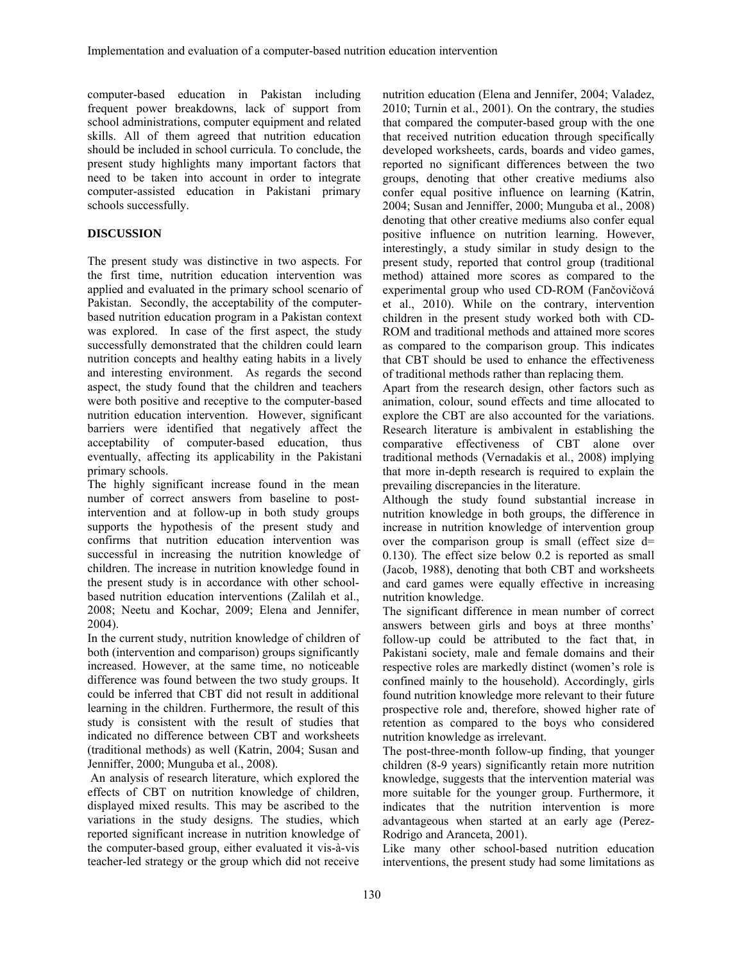computer-based education in Pakistan including frequent power breakdowns, lack of support from school administrations, computer equipment and related skills. All of them agreed that nutrition education should be included in school curricula. To conclude, the present study highlights many important factors that need to be taken into account in order to integrate computer-assisted education in Pakistani primary schools successfully.

# **DISCUSSION**

The present study was distinctive in two aspects. For the first time, nutrition education intervention was applied and evaluated in the primary school scenario of Pakistan. Secondly, the acceptability of the computerbased nutrition education program in a Pakistan context was explored. In case of the first aspect, the study successfully demonstrated that the children could learn nutrition concepts and healthy eating habits in a lively and interesting environment. As regards the second aspect, the study found that the children and teachers were both positive and receptive to the computer-based nutrition education intervention. However, significant barriers were identified that negatively affect the acceptability of computer-based education, thus eventually, affecting its applicability in the Pakistani primary schools.

The highly significant increase found in the mean number of correct answers from baseline to postintervention and at follow-up in both study groups supports the hypothesis of the present study and confirms that nutrition education intervention was successful in increasing the nutrition knowledge of children. The increase in nutrition knowledge found in the present study is in accordance with other schoolbased nutrition education interventions (Zalilah et al., 2008; Neetu and Kochar, 2009; Elena and Jennifer, 2004).

In the current study, nutrition knowledge of children of both (intervention and comparison) groups significantly increased. However, at the same time, no noticeable difference was found between the two study groups. It could be inferred that CBT did not result in additional learning in the children. Furthermore, the result of this study is consistent with the result of studies that indicated no difference between CBT and worksheets (traditional methods) as well (Katrin, 2004; Susan and Jenniffer, 2000; Munguba et al., 2008).

 An analysis of research literature, which explored the effects of CBT on nutrition knowledge of children, displayed mixed results. This may be ascribed to the variations in the study designs. The studies, which reported significant increase in nutrition knowledge of the computer-based group, either evaluated it vis-à-vis teacher-led strategy or the group which did not receive nutrition education (Elena and Jennifer, 2004; Valadez, 2010; Turnin et al., 2001). On the contrary, the studies that compared the computer-based group with the one that received nutrition education through specifically developed worksheets, cards, boards and video games, reported no significant differences between the two groups, denoting that other creative mediums also confer equal positive influence on learning (Katrin, 2004; Susan and Jenniffer, 2000; Munguba et al., 2008) denoting that other creative mediums also confer equal positive influence on nutrition learning. However, interestingly, a study similar in study design to the present study, reported that control group (traditional method) attained more scores as compared to the experimental group who used CD-ROM (Fančovičová et al., 2010). While on the contrary, intervention children in the present study worked both with CD-ROM and traditional methods and attained more scores as compared to the comparison group. This indicates that CBT should be used to enhance the effectiveness of traditional methods rather than replacing them.

Apart from the research design, other factors such as animation, colour, sound effects and time allocated to explore the CBT are also accounted for the variations. Research literature is ambivalent in establishing the comparative effectiveness of CBT alone over traditional methods (Vernadakis et al., 2008) implying that more in-depth research is required to explain the prevailing discrepancies in the literature.

Although the study found substantial increase in nutrition knowledge in both groups, the difference in increase in nutrition knowledge of intervention group over the comparison group is small (effect size  $d=$ 0.130). The effect size below 0.2 is reported as small (Jacob, 1988), denoting that both CBT and worksheets and card games were equally effective in increasing nutrition knowledge.

The significant difference in mean number of correct answers between girls and boys at three months' follow-up could be attributed to the fact that, in Pakistani society, male and female domains and their respective roles are markedly distinct (women's role is confined mainly to the household). Accordingly, girls found nutrition knowledge more relevant to their future prospective role and, therefore, showed higher rate of retention as compared to the boys who considered nutrition knowledge as irrelevant.

The post-three-month follow-up finding, that younger children (8-9 years) significantly retain more nutrition knowledge, suggests that the intervention material was more suitable for the younger group. Furthermore, it indicates that the nutrition intervention is more advantageous when started at an early age (Perez-Rodrigo and Aranceta, 2001).

Like many other school-based nutrition education interventions, the present study had some limitations as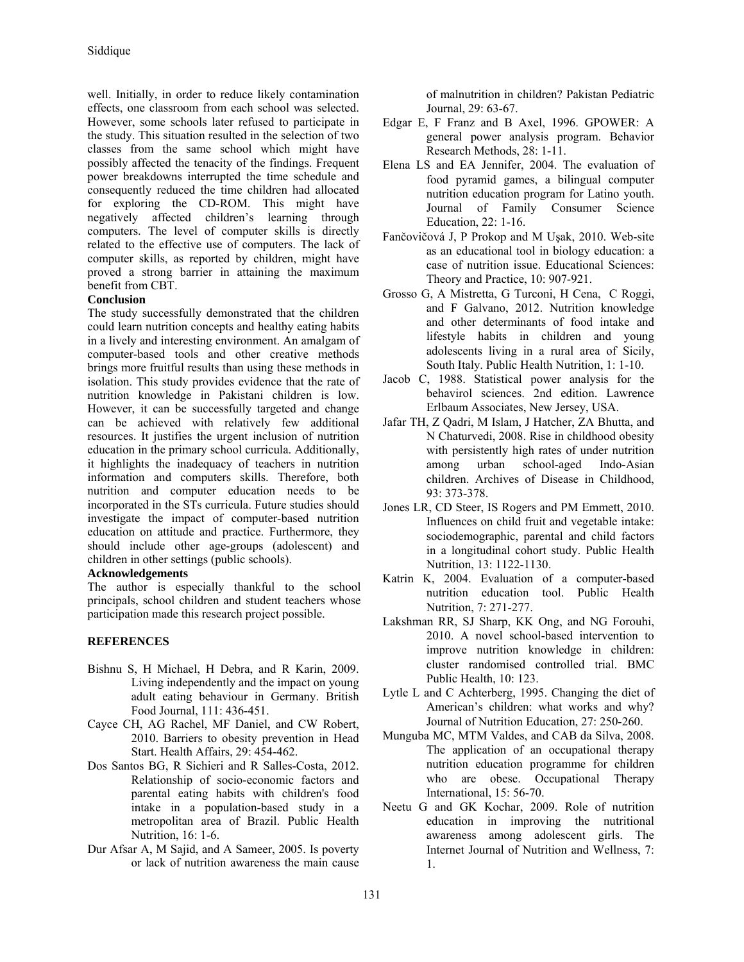well. Initially, in order to reduce likely contamination effects, one classroom from each school was selected. However, some schools later refused to participate in the study. This situation resulted in the selection of two classes from the same school which might have possibly affected the tenacity of the findings. Frequent power breakdowns interrupted the time schedule and consequently reduced the time children had allocated for exploring the CD-ROM. This might have negatively affected children's learning through computers. The level of computer skills is directly related to the effective use of computers. The lack of computer skills, as reported by children, might have proved a strong barrier in attaining the maximum benefit from CBT.

# **Conclusion**

The study successfully demonstrated that the children could learn nutrition concepts and healthy eating habits in a lively and interesting environment. An amalgam of computer-based tools and other creative methods brings more fruitful results than using these methods in isolation. This study provides evidence that the rate of nutrition knowledge in Pakistani children is low. However, it can be successfully targeted and change can be achieved with relatively few additional resources. It justifies the urgent inclusion of nutrition education in the primary school curricula. Additionally, it highlights the inadequacy of teachers in nutrition information and computers skills. Therefore, both nutrition and computer education needs to be incorporated in the STs curricula. Future studies should investigate the impact of computer-based nutrition education on attitude and practice. Furthermore, they should include other age-groups (adolescent) and children in other settings (public schools).

### **Acknowledgements**

The author is especially thankful to the school principals, school children and student teachers whose participation made this research project possible.

# **REFERENCES**

- Bishnu S, H Michael, H Debra, and R Karin, 2009. Living independently and the impact on young adult eating behaviour in Germany. British Food Journal, 111: 436-451.
- Cayce CH, AG Rachel, MF Daniel, and CW Robert, 2010. Barriers to obesity prevention in Head Start. Health Affairs, 29: 454-462.
- Dos Santos BG, R Sichieri and R Salles-Costa, 2012. Relationship of socio-economic factors and parental eating habits with children's food intake in a population-based study in a metropolitan area of Brazil. Public Health Nutrition, 16: 1-6.
- Dur Afsar A, M Sajid, and A Sameer, 2005. Is poverty or lack of nutrition awareness the main cause

of malnutrition in children? Pakistan Pediatric Journal, 29: 63-67.

- Edgar E, F Franz and B Axel, 1996. GPOWER: A general power analysis program. Behavior Research Methods, 28: 1-11.
- Elena LS and EA Jennifer, 2004. The evaluation of food pyramid games, a bilingual computer nutrition education program for Latino youth. Journal of Family Consumer Science Education, 22: 1-16.
- Fančovičová J, P Prokop and M Uşak, 2010. Web-site as an educational tool in biology education: a case of nutrition issue. Educational Sciences: Theory and Practice, 10: 907-921.
- Grosso G, A Mistretta, G Turconi, H Cena, C Roggi, and F Galvano, 2012. Nutrition knowledge and other determinants of food intake and lifestyle habits in children and young adolescents living in a rural area of Sicily, South Italy. Public Health Nutrition, 1: 1-10.
- Jacob C, 1988. Statistical power analysis for the behavirol sciences. 2nd edition. Lawrence Erlbaum Associates, New Jersey, USA.
- Jafar TH, Z Qadri, M Islam, J Hatcher, ZA Bhutta, and N Chaturvedi, 2008. Rise in childhood obesity with persistently high rates of under nutrition among urban school-aged Indo-Asian children. Archives of Disease in Childhood, 93: 373-378.
- Jones LR, CD Steer, IS Rogers and PM Emmett, 2010. Influences on child fruit and vegetable intake: sociodemographic, parental and child factors in a longitudinal cohort study. Public Health Nutrition, 13: 1122-1130.
- Katrin K, 2004. Evaluation of a computer-based nutrition education tool. Public Health Nutrition, 7: 271-277.
- Lakshman RR, SJ Sharp, KK Ong, and NG Forouhi, 2010. A novel school-based intervention to improve nutrition knowledge in children: cluster randomised controlled trial. BMC Public Health, 10: 123.
- Lytle L and C Achterberg, 1995. Changing the diet of American's children: what works and why? Journal of Nutrition Education, 27: 250-260.
- Munguba MC, MTM Valdes, and CAB da Silva, 2008. The application of an occupational therapy nutrition education programme for children who are obese. Occupational Therapy International, 15: 56-70.
- Neetu G and GK Kochar, 2009. Role of nutrition education in improving the nutritional awareness among adolescent girls. The Internet Journal of Nutrition and Wellness, 7: 1.